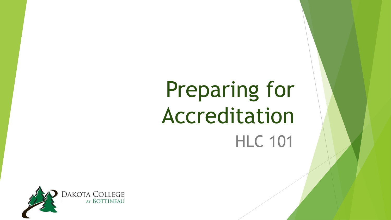# Preparing for Accreditation HLC 101

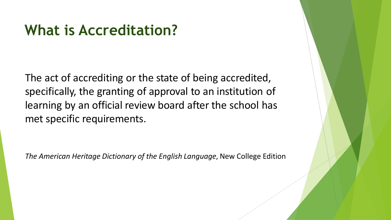### **What is Accreditation?**

The act of accrediting or the state of being accredited, specifically, the granting of approval to an institution of learning by an official review board after the school has met specific requirements.

*The American Heritage Dictionary of the English Language*, New College Edition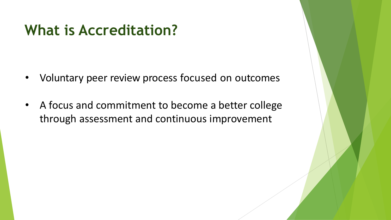### **What is Accreditation?**

- Voluntary peer review process focused on outcomes
- A focus and commitment to become a better college through assessment and continuous improvement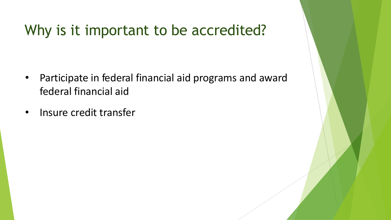# Why is it important to be accredited?

- • Participate in federal financial aid programs and award federal financial aid
- Insure credit transfer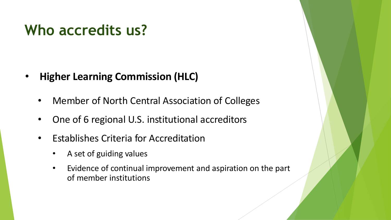# **Who accredits us?**

- **Higher Learning Commission (HLC)** 
	- Member of North Central Association of Colleges
	- One of 6 regional U.S. institutional accreditors
	- Establishes Criteria for Accreditation
		- A set of guiding values
		- Evidence of continual improvement and aspiration on the part of member institutions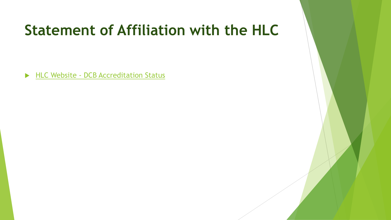# **Statement of Affiliation with the HLC**

HLC Website - DCB Accreditation Status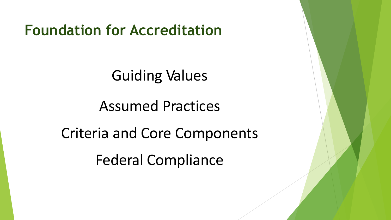**Foundation for Accreditation** 

Guiding Values

Assumed Practices

Criteria and Core Components

Federal Compliance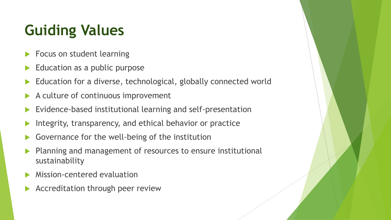# **Guiding Values**

- Focus on student learning
- Education as a public purpose
- Education for a diverse, technological, globally connected world
- A culture of continuous improvement
- Evidence-based institutional learning and self-presentation
- Integrity, transparency, and ethical behavior or practice
- Governance for the well-being of the institution
- Planning and management of resources to ensure institutional sustainability
- Mission-centered evaluation
- Accreditation through peer review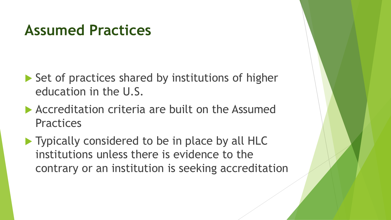### **Assumed Practices**

- Set of practices shared by institutions of higher education in the U.S.
- Accreditation criteria are built on the Assumed **Practices**
- institutions unless there is evidence to the **Typically considered to be in place by all HLC** contrary or an institution is seeking accreditation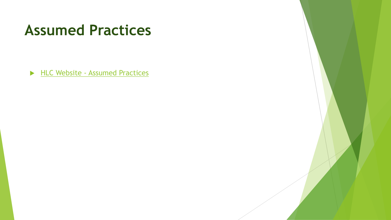### **Assumed Practices**

HLC Website - [Assumed Practices](http://download.hlcommission.org/policy/updates/AdoptedPoliciesAssumedPractices_2015_06_POL.pdf)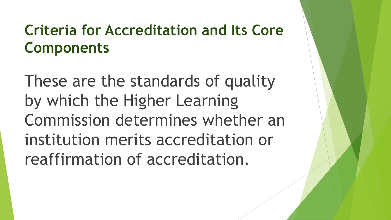# **Criteria for Accreditation and Its Core Components**

These are the standards of quality by which the Higher Learning Commission determines whether an institution merits accreditation or reaffirmation of accreditation.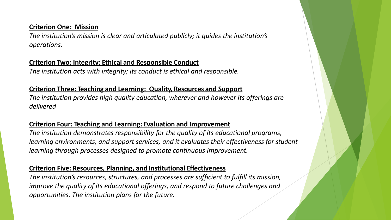#### **Criterion One: Mission**

The institution's mission is clear and articulated publicly; it guides the institution's *operations.* 

#### **Criterion Two: Integrity: Ethical and Responsible Conduct**

*The institution acts with integrity; its conduct is ethical and responsible.* 

#### **Criterion Three: Teaching and Learning: Quality, Resources and Support**

*The institution provides high quality education, wherever and however its offerings are delivered* 

#### **Criterion Four: Teaching and Learning: Evaluation and Improvement**

*The institution demonstrates responsibility for the quality of its educational programs, learning environments, and support services, and it evaluates their effectiveness for student learning through processes designed to promote continuous improvement.* 

#### **Criterion Five: Resources, Planning, and Institutional Effectiveness**

The institution's resources, structures, and processes are sufficient to fulfill its mission, *improve the quality of its educational offerings, and respond to future challenges and opportunities. The institution plans for the future.*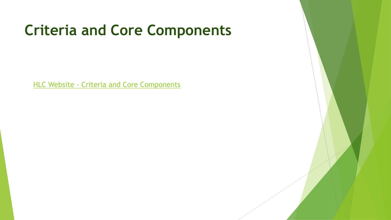# **Criteria and Core Components**

HLC Website - [Criteria and Core Components](https://www.hlcommission.org/Policies/criteria-and-core-components.html)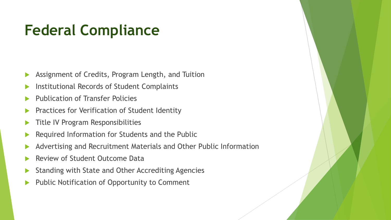# **Federal Compliance**

- Assignment of Credits, Program Length, and Tuition
- Institutional Records of Student Complaints
- Publication of Transfer Policies
- Practices for Verification of Student Identity
- **Title IV Program Responsibilities**
- Required Information for Students and the Public
- Advertising and Recruitment Materials and Other Public Information
- Review of Student Outcome Data
- Standing with State and Other Accrediting Agencies
- Public Notification of Opportunity to Comment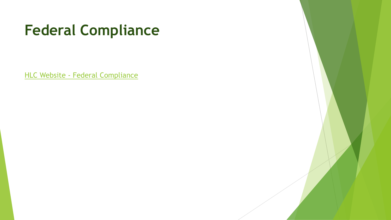# **Federal Compliance**

HLC Website - [Federal Compliance](https://www.hlcommission.org/Policies/federal-regulation.html?highlight=WyJmZWRlcmFsIiwiY29tcGxpYW5jZSIsImZlZGVyYWwgY29tcGxpYW5jZSJd)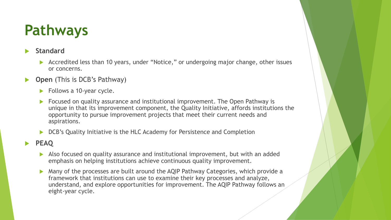# **Pathways**

#### **Standard**

- Accredited less than 10 years, under "Notice," or undergoing major change, other issues or concerns.
- **Open** (This is DCB's Pathway)
	- $\blacktriangleright$  Follows a 10-year cycle.
	- **Focused on quality assurance and institutional improvement. The Open Pathway is** unique in that its improvement component, the Quality Initiative, affords institutions the opportunity to pursue improvement projects that meet their current needs and aspirations.
	- DCB's Quality Initiative is the HLC Academy for Persistence and Completion
- **PEAQ** 
	- emphasis on helping institutions achieve continuous quality improvement. Also focused on quality assurance and institutional improvement, but with an added
	- Many of the processes are built around the AQIP Pathway Categories, which provide a framework that institutions can use to examine their key processes and analyze, understand, and explore opportunities for improvement. The AQIP Pathway follows an eight-year cycle.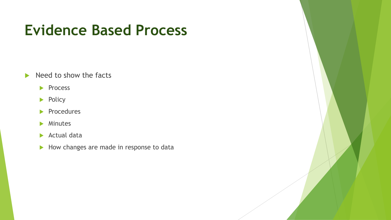## **Evidence Based Process**

- $\blacktriangleright$  Need to show the facts
	- Process
	- $\blacktriangleright$  Policy
	- Procedures
	- **Minutes**
	- Actual data
	- $\blacktriangleright$  How changes are made in response to data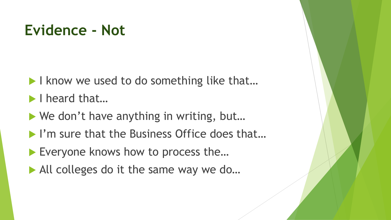### **Evidence - Not**

- I know we used to do something like that...
- I heard that...
- ▶ We don't have anything in writing, but...
- I'm sure that the Business Office does that...
- Everyone knows how to process the...
- All colleges do it the same way we do...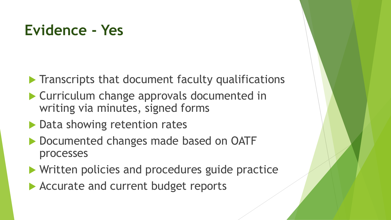## **Evidence - Yes**

- $\blacktriangleright$  Transcripts that document faculty qualifications
- Curriculum change approvals documented in writing via minutes, signed forms
- **Data showing retention rates**
- Documented changes made based on OATF processes
- **Written policies and procedures guide practice**
- Accurate and current budget reports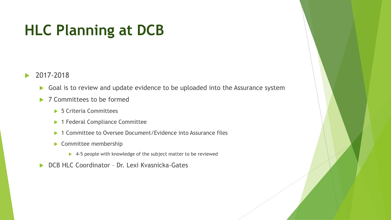# **HLC Planning at DCB**

#### ▶ 2017-2018

- Goal is to review and update evidence to be uploaded into the Assurance system
- ▶ 7 Committees to be formed
	- ▶ 5 Criteria Committees
	- ▶ 1 Federal Compliance Committee
	- ▶ 1 Committee to Oversee Document/Evidence into Assurance files
	- Committee membership
		- ▶ 4-5 people with knowledge of the subject matter to be reviewed
- ▶ DCB HLC Coordinator Dr. Lexi Kvasnicka-Gates